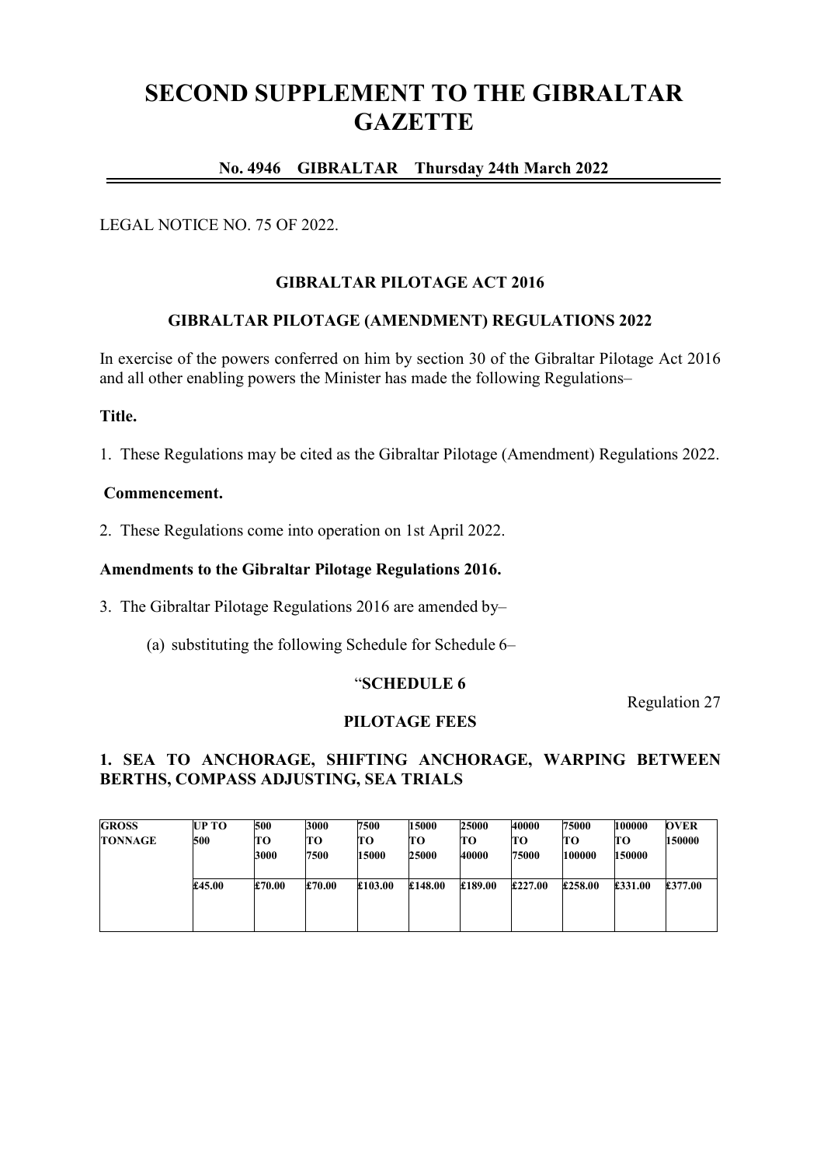# **SECOND SUPPLEMENT TO THE GIBRALTAR GAZETTE**

# **No. 4946 GIBRALTAR Thursday 24th March 2022**

## LEGAL NOTICE NO. 75 OF 2022.

## **GIBRALTAR PILOTAGE ACT 2016**

## **GIBRALTAR PILOTAGE (AMENDMENT) REGULATIONS 2022**

In exercise of the powers conferred on him by section 30 of the Gibraltar Pilotage Act 2016 and all other enabling powers the Minister has made the following Regulations–

#### **Title.**

1. These Regulations may be cited as the Gibraltar Pilotage (Amendment) Regulations 2022.

#### **Commencement.**

2. These Regulations come into operation on 1st April 2022.

#### **Amendments to the Gibraltar Pilotage Regulations 2016.**

3. The Gibraltar Pilotage Regulations 2016 are amended by–

(a) substituting the following Schedule for Schedule 6–

#### "**SCHEDULE 6**

Regulation 27

#### **PILOTAGE FEES**

# **1. SEA TO ANCHORAGE, SHIFTING ANCHORAGE, WARPING BETWEEN BERTHS, COMPASS ADJUSTING, SEA TRIALS**

| <b>GROSS</b>   | <b>UP TO</b> | 500    | 3000   | 7500    | 15000        | 25000   | 40000   | 75000   | 100000  | <b>OVER</b> |
|----------------|--------------|--------|--------|---------|--------------|---------|---------|---------|---------|-------------|
| <b>TONNAGE</b> | 500          | TО     | TО     | TО      | TО           | TО      | TО      | TО      | TО      | 150000      |
|                |              | 3000   | 7500   | 15000   | <b>25000</b> | 40000   | 75000   | 100000  | 150000  |             |
|                | £45.00       | £70.00 | £70.00 | £103.00 | £148.00      | £189.00 | £227.00 | £258.00 | £331.00 | £377.00     |
|                |              |        |        |         |              |         |         |         |         |             |